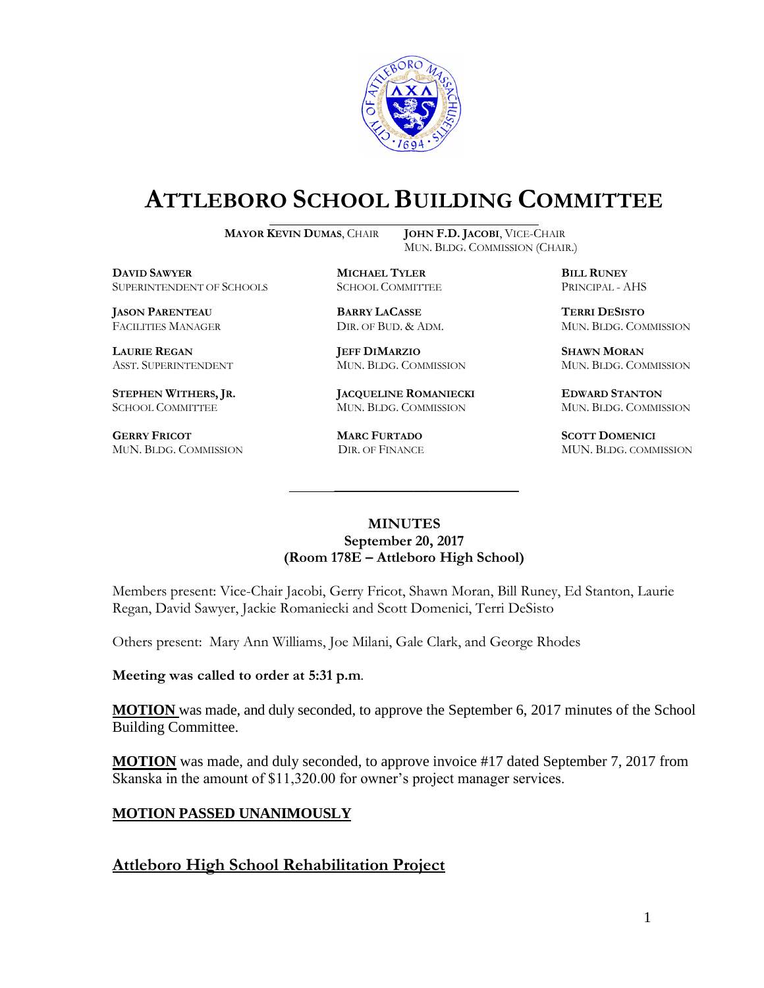

# **ATTLEBORO SCHOOL BUILDING COMMITTEE**

**MAYOR KEVIN DUMAS**, CHAIR **JOHN F.D. JACOBI**, VICE-CHAIR

MUN. BLDG. COMMISSION (CHAIR.)

**DAVID SAWYER MICHAEL TYLER BILL RUNEY** SUPERINTENDENT OF SCHOOLS SCHOOL COMMITTEE PRINCIPAL - AHS

**JASON PARENTEAU BARRY LACASSE TERRI DESISTO**

**GERRY FRICOT MARC FURTADO SCOTT DOMENICI** 

**LAURIE REGAN JEFF DIMARZIO SHAWN MORAN**

**STEPHEN WITHERS, JR. JACQUELINE ROMANIECKI EDWARD STANTON** SCHOOL COMMITTEE MUN. BLDG. COMMISSION MUN. BLDG. COMMISSION

FACILITIES MANAGER DIR. OF BUD. & ADM. MUN. BLDG. COMMISSION

ASST. SUPERINTENDENT MUN. BLDG. COMMISSION MUN. BLDG. COMMISSION

MUN. BLDG. COMMISSION DIR. OF FINANCE MUN. BLDG. COMMISSION

### **MINUTES September 20, 2017 (Room 178E – Attleboro High School)**

\_\_\_\_\_\_\_\_\_\_\_\_\_\_\_\_\_\_\_\_\_\_\_\_\_\_\_\_\_\_\_\_\_\_\_\_\_

Members present: Vice-Chair Jacobi, Gerry Fricot, Shawn Moran, Bill Runey, Ed Stanton, Laurie Regan, David Sawyer, Jackie Romaniecki and Scott Domenici, Terri DeSisto

Others present: Mary Ann Williams, Joe Milani, Gale Clark, and George Rhodes

**Meeting was called to order at 5:31 p.m**.

**MOTION** was made, and duly seconded, to approve the September 6, 2017 minutes of the School Building Committee.

**MOTION** was made, and duly seconded, to approve invoice #17 dated September 7, 2017 from Skanska in the amount of \$11,320.00 for owner's project manager services.

## **MOTION PASSED UNANIMOUSLY**

## **Attleboro High School Rehabilitation Project**